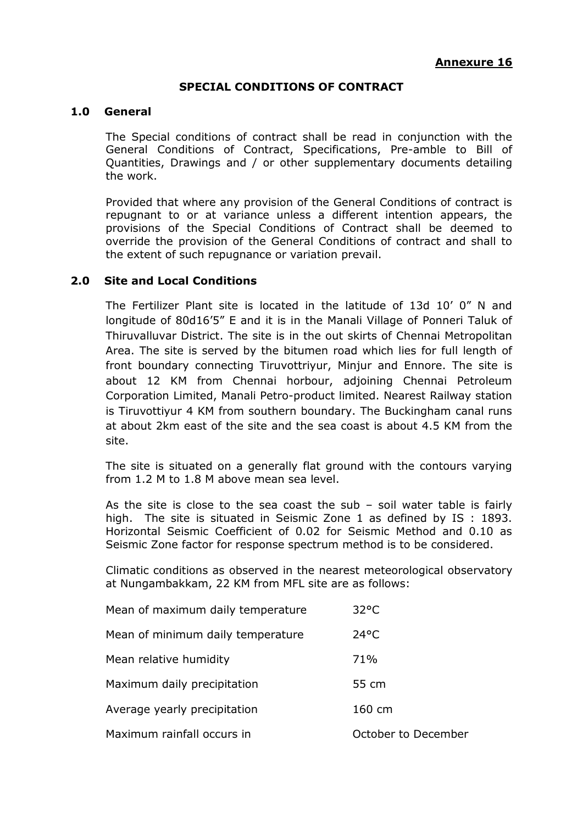#### **SPECIAL CONDITIONS OF CONTRACT**

#### **1.0 General**

The Special conditions of contract shall be read in conjunction with the General Conditions of Contract, Specifications, Pre-amble to Bill of Quantities, Drawings and / or other supplementary documents detailing the work.

Provided that where any provision of the General Conditions of contract is repugnant to or at variance unless a different intention appears, the provisions of the Special Conditions of Contract shall be deemed to override the provision of the General Conditions of contract and shall to the extent of such repugnance or variation prevail.

#### **2.0 Site and Local Conditions**

The Fertilizer Plant site is located in the latitude of 13d 10' 0" N and longitude of 80d16'5" E and it is in the Manali Village of Ponneri Taluk of Thiruvalluvar District. The site is in the out skirts of Chennai Metropolitan Area. The site is served by the bitumen road which lies for full length of front boundary connecting Tiruvottriyur, Minjur and Ennore. The site is about 12 KM from Chennai horbour, adjoining Chennai Petroleum Corporation Limited, Manali Petro-product limited. Nearest Railway station is Tiruvottiyur 4 KM from southern boundary. The Buckingham canal runs at about 2km east of the site and the sea coast is about 4.5 KM from the site.

The site is situated on a generally flat ground with the contours varying from 1.2 M to 1.8 M above mean sea level.

As the site is close to the sea coast the sub  $-$  soil water table is fairly high. The site is situated in Seismic Zone 1 as defined by IS : 1893. Horizontal Seismic Coefficient of 0.02 for Seismic Method and 0.10 as Seismic Zone factor for response spectrum method is to be considered.

Climatic conditions as observed in the nearest meteorological observatory at Nungambakkam, 22 KM from MFL site are as follows:

| Mean of maximum daily temperature | $32^{\circ}$ C      |
|-----------------------------------|---------------------|
| Mean of minimum daily temperature | $24^{\circ}$ C      |
| Mean relative humidity            | 71%                 |
| Maximum daily precipitation       | 55 cm               |
| Average yearly precipitation      | 160 cm              |
| Maximum rainfall occurs in        | October to December |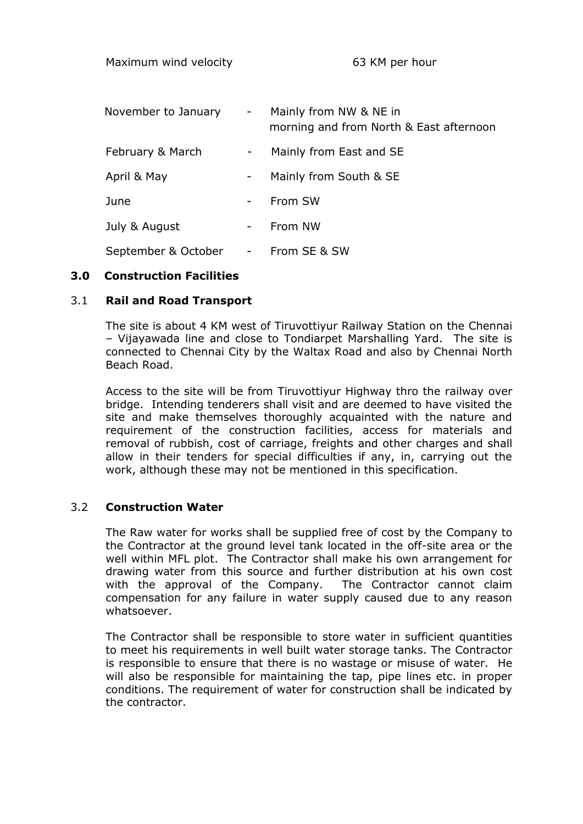| November to January | $\sim$ $-$               | Mainly from NW & NE in<br>morning and from North & East afternoon |
|---------------------|--------------------------|-------------------------------------------------------------------|
| February & March    | $\overline{\phantom{a}}$ | Mainly from East and SE                                           |
| April & May         |                          | Mainly from South & SE                                            |
| June                |                          | From SW                                                           |
| July & August       |                          | From NW                                                           |
| September & October |                          | From SE & SW                                                      |

## **3.0 Construction Facilities**

## 3.1 **Rail and Road Transport**

The site is about 4 KM west of Tiruvottiyur Railway Station on the Chennai – Vijayawada line and close to Tondiarpet Marshalling Yard. The site is connected to Chennai City by the Waltax Road and also by Chennai North Beach Road.

Access to the site will be from Tiruvottiyur Highway thro the railway over bridge. Intending tenderers shall visit and are deemed to have visited the site and make themselves thoroughly acquainted with the nature and requirement of the construction facilities, access for materials and removal of rubbish, cost of carriage, freights and other charges and shall allow in their tenders for special difficulties if any, in, carrying out the work, although these may not be mentioned in this specification.

## 3.2 **Construction Water**

The Raw water for works shall be supplied free of cost by the Company to the Contractor at the ground level tank located in the off-site area or the well within MFL plot. The Contractor shall make his own arrangement for drawing water from this source and further distribution at his own cost with the approval of the Company. The Contractor cannot claim compensation for any failure in water supply caused due to any reason whatsoever.

The Contractor shall be responsible to store water in sufficient quantities to meet his requirements in well built water storage tanks. The Contractor is responsible to ensure that there is no wastage or misuse of water. He will also be responsible for maintaining the tap, pipe lines etc. in proper conditions. The requirement of water for construction shall be indicated by the contractor.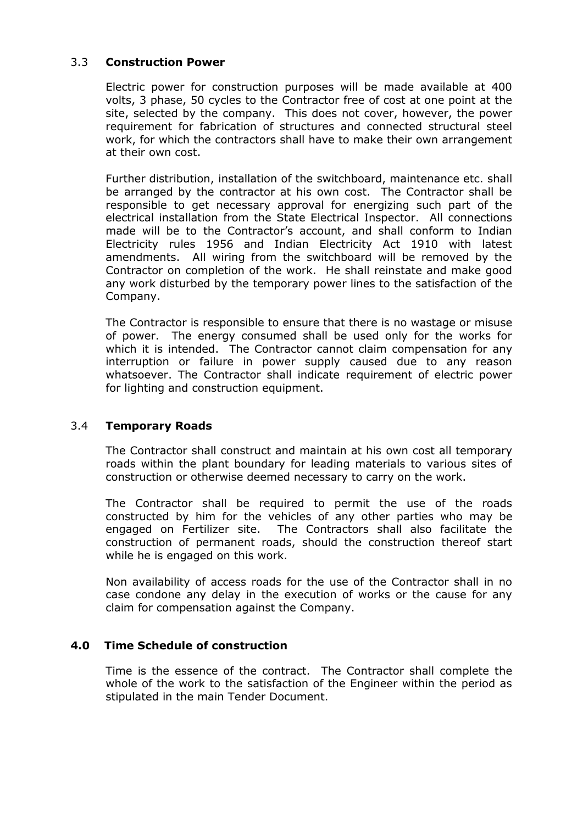## 3.3 **Construction Power**

Electric power for construction purposes will be made available at 400 volts, 3 phase, 50 cycles to the Contractor free of cost at one point at the site, selected by the company. This does not cover, however, the power requirement for fabrication of structures and connected structural steel work, for which the contractors shall have to make their own arrangement at their own cost.

Further distribution, installation of the switchboard, maintenance etc. shall be arranged by the contractor at his own cost. The Contractor shall be responsible to get necessary approval for energizing such part of the electrical installation from the State Electrical Inspector. All connections made will be to the Contractor's account, and shall conform to Indian Electricity rules 1956 and Indian Electricity Act 1910 with latest amendments. All wiring from the switchboard will be removed by the Contractor on completion of the work. He shall reinstate and make good any work disturbed by the temporary power lines to the satisfaction of the Company.

The Contractor is responsible to ensure that there is no wastage or misuse of power. The energy consumed shall be used only for the works for which it is intended. The Contractor cannot claim compensation for any interruption or failure in power supply caused due to any reason whatsoever. The Contractor shall indicate requirement of electric power for lighting and construction equipment.

## 3.4 **Temporary Roads**

The Contractor shall construct and maintain at his own cost all temporary roads within the plant boundary for leading materials to various sites of construction or otherwise deemed necessary to carry on the work.

The Contractor shall be required to permit the use of the roads constructed by him for the vehicles of any other parties who may be engaged on Fertilizer site. The Contractors shall also facilitate the construction of permanent roads, should the construction thereof start while he is engaged on this work.

Non availability of access roads for the use of the Contractor shall in no case condone any delay in the execution of works or the cause for any claim for compensation against the Company.

## **4.0 Time Schedule of construction**

Time is the essence of the contract. The Contractor shall complete the whole of the work to the satisfaction of the Engineer within the period as stipulated in the main Tender Document.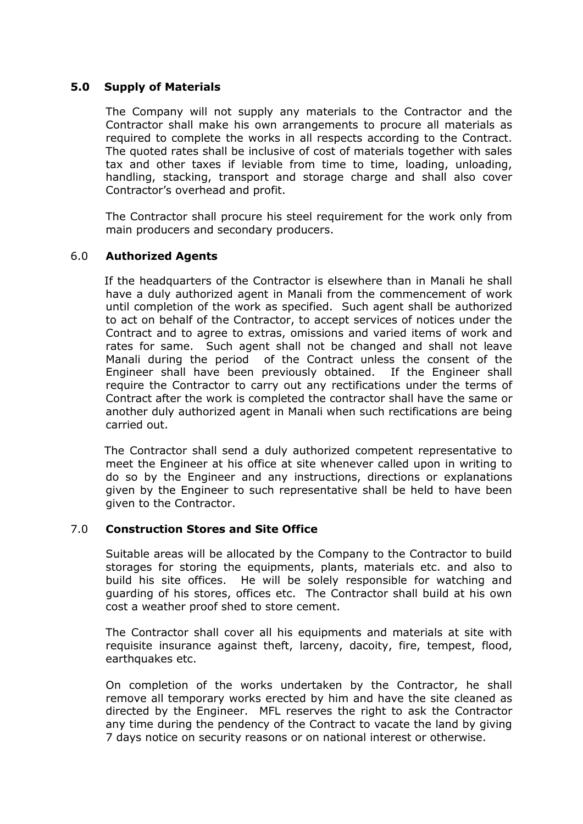## **5.0 Supply of Materials**

The Company will not supply any materials to the Contractor and the Contractor shall make his own arrangements to procure all materials as required to complete the works in all respects according to the Contract. The quoted rates shall be inclusive of cost of materials together with sales tax and other taxes if leviable from time to time, loading, unloading, handling, stacking, transport and storage charge and shall also cover Contractor's overhead and profit.

The Contractor shall procure his steel requirement for the work only from main producers and secondary producers.

## 6.0 **Authorized Agents**

 If the headquarters of the Contractor is elsewhere than in Manali he shall have a duly authorized agent in Manali from the commencement of work until completion of the work as specified. Such agent shall be authorized to act on behalf of the Contractor, to accept services of notices under the Contract and to agree to extras, omissions and varied items of work and rates for same. Such agent shall not be changed and shall not leave Manali during the period of the Contract unless the consent of the Engineer shall have been previously obtained. If the Engineer shall require the Contractor to carry out any rectifications under the terms of Contract after the work is completed the contractor shall have the same or another duly authorized agent in Manali when such rectifications are being carried out.

 The Contractor shall send a duly authorized competent representative to meet the Engineer at his office at site whenever called upon in writing to do so by the Engineer and any instructions, directions or explanations given by the Engineer to such representative shall be held to have been given to the Contractor.

## 7.0 **Construction Stores and Site Office**

Suitable areas will be allocated by the Company to the Contractor to build storages for storing the equipments, plants, materials etc. and also to build his site offices. He will be solely responsible for watching and guarding of his stores, offices etc. The Contractor shall build at his own cost a weather proof shed to store cement.

The Contractor shall cover all his equipments and materials at site with requisite insurance against theft, larceny, dacoity, fire, tempest, flood, earthquakes etc.

On completion of the works undertaken by the Contractor, he shall remove all temporary works erected by him and have the site cleaned as directed by the Engineer. MFL reserves the right to ask the Contractor any time during the pendency of the Contract to vacate the land by giving 7 days notice on security reasons or on national interest or otherwise.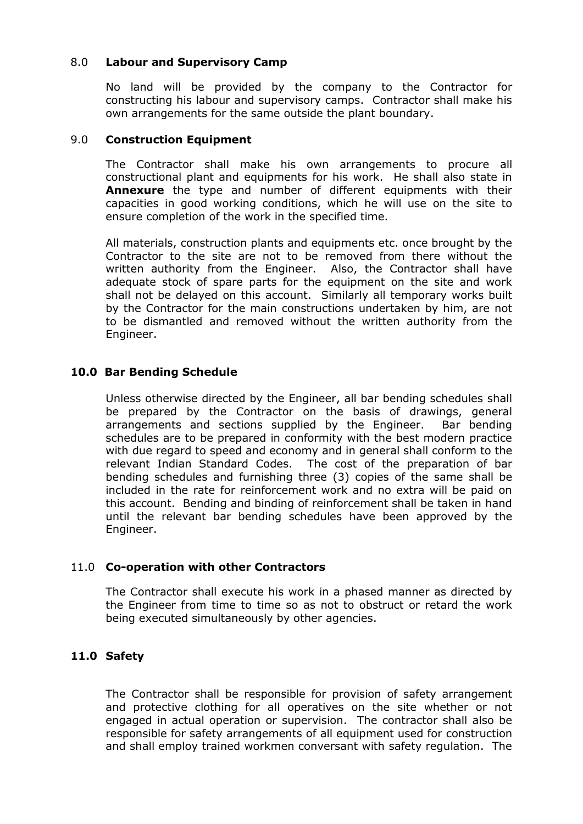## 8.0 **Labour and Supervisory Camp**

No land will be provided by the company to the Contractor for constructing his labour and supervisory camps. Contractor shall make his own arrangements for the same outside the plant boundary.

#### 9.0 **Construction Equipment**

The Contractor shall make his own arrangements to procure all constructional plant and equipments for his work. He shall also state in **Annexure** the type and number of different equipments with their capacities in good working conditions, which he will use on the site to ensure completion of the work in the specified time.

All materials, construction plants and equipments etc. once brought by the Contractor to the site are not to be removed from there without the written authority from the Engineer. Also, the Contractor shall have adequate stock of spare parts for the equipment on the site and work shall not be delayed on this account. Similarly all temporary works built by the Contractor for the main constructions undertaken by him, are not to be dismantled and removed without the written authority from the Engineer.

## **10.0 Bar Bending Schedule**

Unless otherwise directed by the Engineer, all bar bending schedules shall be prepared by the Contractor on the basis of drawings, general arrangements and sections supplied by the Engineer. Bar bending schedules are to be prepared in conformity with the best modern practice with due regard to speed and economy and in general shall conform to the relevant Indian Standard Codes. The cost of the preparation of bar bending schedules and furnishing three (3) copies of the same shall be included in the rate for reinforcement work and no extra will be paid on this account. Bending and binding of reinforcement shall be taken in hand until the relevant bar bending schedules have been approved by the Engineer.

## 11.0 **Co-operation with other Contractors**

The Contractor shall execute his work in a phased manner as directed by the Engineer from time to time so as not to obstruct or retard the work being executed simultaneously by other agencies.

## **11.0 Safety**

The Contractor shall be responsible for provision of safety arrangement and protective clothing for all operatives on the site whether or not engaged in actual operation or supervision. The contractor shall also be responsible for safety arrangements of all equipment used for construction and shall employ trained workmen conversant with safety regulation. The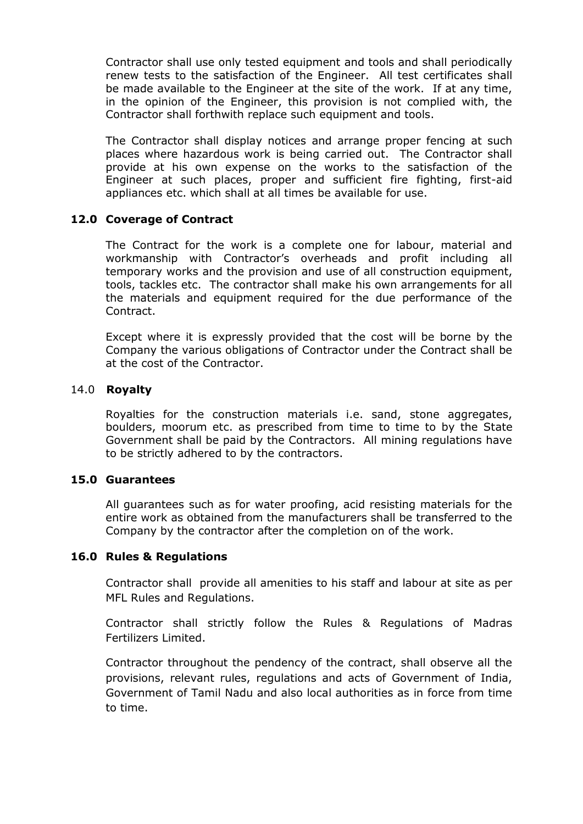Contractor shall use only tested equipment and tools and shall periodically renew tests to the satisfaction of the Engineer. All test certificates shall be made available to the Engineer at the site of the work. If at any time, in the opinion of the Engineer, this provision is not complied with, the Contractor shall forthwith replace such equipment and tools.

The Contractor shall display notices and arrange proper fencing at such places where hazardous work is being carried out. The Contractor shall provide at his own expense on the works to the satisfaction of the Engineer at such places, proper and sufficient fire fighting, first-aid appliances etc. which shall at all times be available for use.

#### **12.0 Coverage of Contract**

The Contract for the work is a complete one for labour, material and workmanship with Contractor's overheads and profit including all temporary works and the provision and use of all construction equipment, tools, tackles etc. The contractor shall make his own arrangements for all the materials and equipment required for the due performance of the Contract.

Except where it is expressly provided that the cost will be borne by the Company the various obligations of Contractor under the Contract shall be at the cost of the Contractor.

#### 14.0 **Royalty**

Royalties for the construction materials i.e. sand, stone aggregates, boulders, moorum etc. as prescribed from time to time to by the State Government shall be paid by the Contractors. All mining regulations have to be strictly adhered to by the contractors.

## **15.0 Guarantees**

All guarantees such as for water proofing, acid resisting materials for the entire work as obtained from the manufacturers shall be transferred to the Company by the contractor after the completion on of the work.

## **16.0 Rules & Regulations**

Contractor shall provide all amenities to his staff and labour at site as per MFL Rules and Regulations.

Contractor shall strictly follow the Rules & Regulations of Madras Fertilizers Limited.

Contractor throughout the pendency of the contract, shall observe all the provisions, relevant rules, regulations and acts of Government of India, Government of Tamil Nadu and also local authorities as in force from time to time.